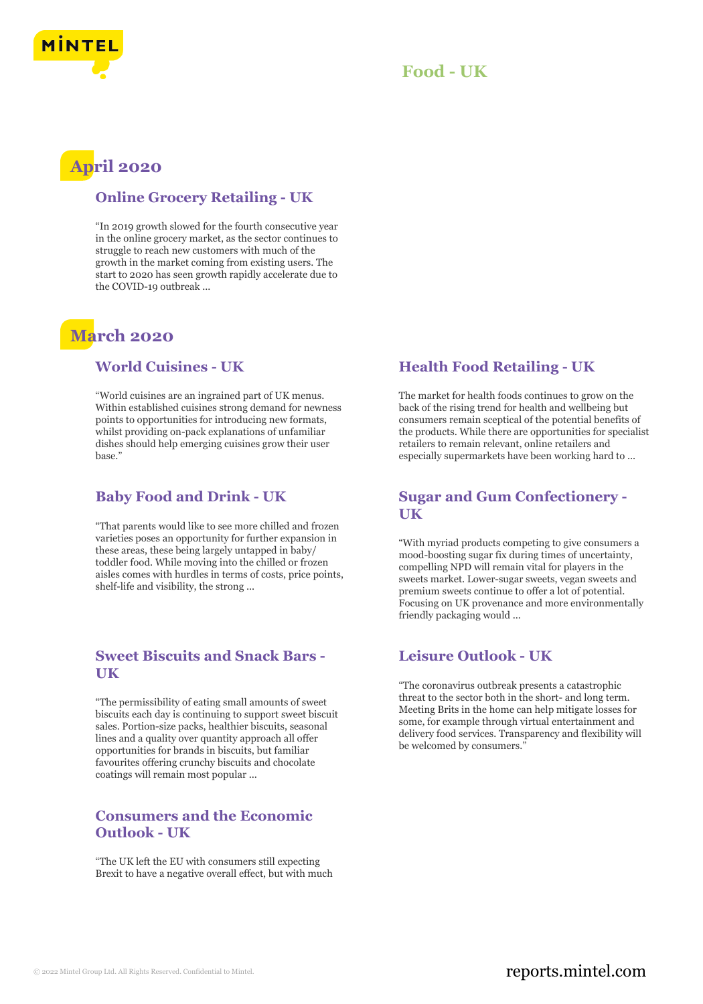



## **April 2020**

#### **Online Grocery Retailing - UK**

"In 2019 growth slowed for the fourth consecutive year in the online grocery market, as the sector continues to struggle to reach new customers with much of the growth in the market coming from existing users. The start to 2020 has seen growth rapidly accelerate due to the COVID-19 outbreak ...

## **March 2020**

#### **World Cuisines - UK**

"World cuisines are an ingrained part of UK menus. Within established cuisines strong demand for newness points to opportunities for introducing new formats, whilst providing on-pack explanations of unfamiliar dishes should help emerging cuisines grow their user base."

### **Baby Food and Drink - UK**

"That parents would like to see more chilled and frozen varieties poses an opportunity for further expansion in these areas, these being largely untapped in baby/ toddler food. While moving into the chilled or frozen aisles comes with hurdles in terms of costs, price points, shelf-life and visibility, the strong ...

## **Sweet Biscuits and Snack Bars - UK**

"The permissibility of eating small amounts of sweet biscuits each day is continuing to support sweet biscuit sales. Portion-size packs, healthier biscuits, seasonal lines and a quality over quantity approach all offer opportunities for brands in biscuits, but familiar favourites offering crunchy biscuits and chocolate coatings will remain most popular ...

#### **Consumers and the Economic Outlook - UK**

"The UK left the EU with consumers still expecting Brexit to have a negative overall effect, but with much

## **Health Food Retailing - UK**

The market for health foods continues to grow on the back of the rising trend for health and wellbeing but consumers remain sceptical of the potential benefits of the products. While there are opportunities for specialist retailers to remain relevant, online retailers and especially supermarkets have been working hard to ...

#### **Sugar and Gum Confectionery - UK**

"With myriad products competing to give consumers a mood-boosting sugar fix during times of uncertainty, compelling NPD will remain vital for players in the sweets market. Lower-sugar sweets, vegan sweets and premium sweets continue to offer a lot of potential. Focusing on UK provenance and more environmentally friendly packaging would ...

## **Leisure Outlook - UK**

"The coronavirus outbreak presents a catastrophic threat to the sector both in the short- and long term. Meeting Brits in the home can help mitigate losses for some, for example through virtual entertainment and delivery food services. Transparency and flexibility will be welcomed by consumers."